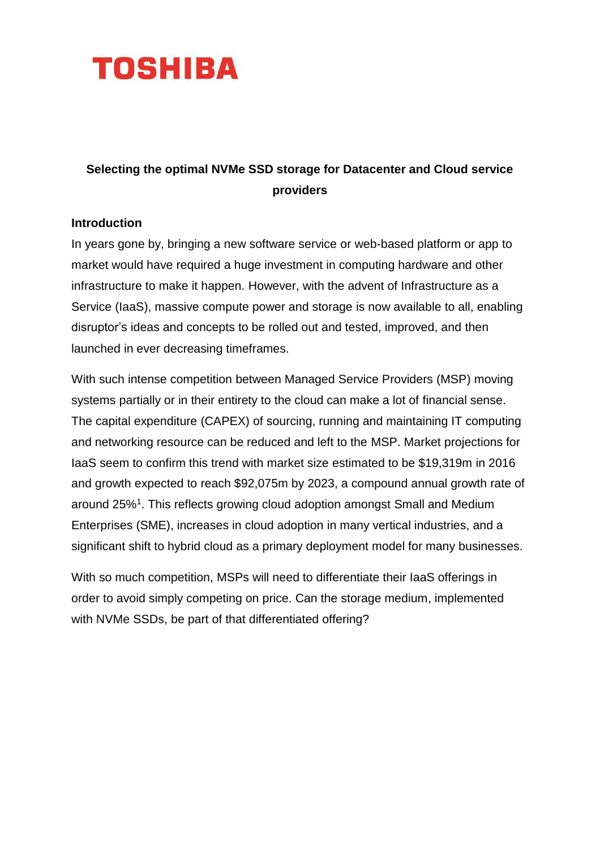

# **Selecting the optimal NVMe SSD storage for Datacenter and Cloud service providers**

#### **Introduction**

In years gone by, bringing a new software service or web-based platform or app to market would have required a huge investment in computing hardware and other infrastructure to make it happen. However, with the advent of Infrastructure as a Service (IaaS), massive compute power and storage is now available to all, enabling disruptor's ideas and concepts to be rolled out and tested, improved, and then launched in ever decreasing timeframes.

With such intense competition between Managed Service Providers (MSP) moving systems partially or in their entirety to the cloud can make a lot of financial sense. The capital expenditure (CAPEX) of sourcing, running and maintaining IT computing and networking resource can be reduced and left to the MSP. Market projections for IaaS seem to confirm this trend with market size estimated to be \$19,319m in 2016 and growth expected to reach \$92,075m by 2023, a compound annual growth rate of around 25%<sup>1</sup>. This reflects growing cloud adoption amongst Small and Medium Enterprises (SME), increases in cloud adoption in many vertical industries, and a significant shift to hybrid cloud as a primary deployment model for many businesses.

With so much competition, MSPs will need to differentiate their IaaS offerings in order to avoid simply competing on price. Can the storage medium, implemented with NVMe SSDs, be part of that differentiated offering?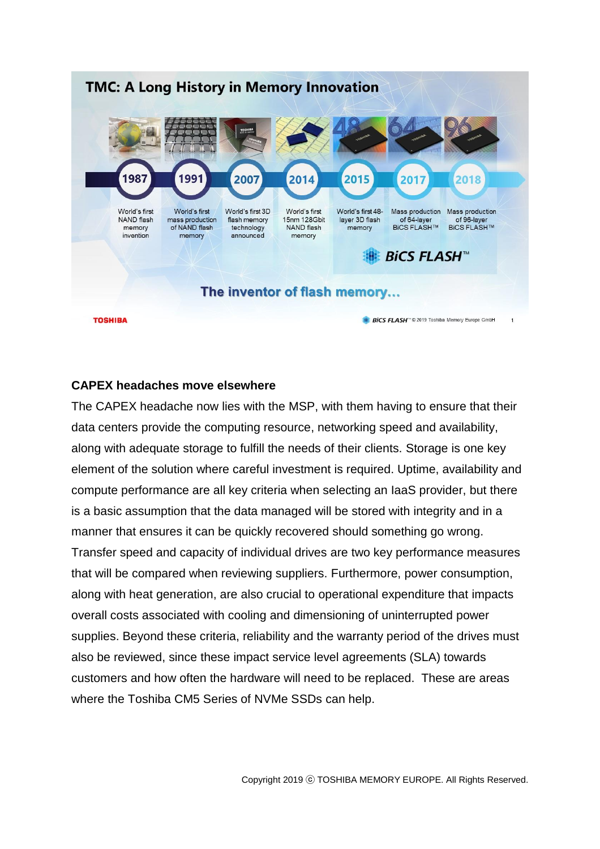

#### **CAPEX headaches move elsewhere**

The CAPEX headache now lies with the MSP, with them having to ensure that their data centers provide the computing resource, networking speed and availability, along with adequate storage to fulfill the needs of their clients. Storage is one key element of the solution where careful investment is required. Uptime, availability and compute performance are all key criteria when selecting an IaaS provider, but there is a basic assumption that the data managed will be stored with integrity and in a manner that ensures it can be quickly recovered should something go wrong. Transfer speed and capacity of individual drives are two key performance measures that will be compared when reviewing suppliers. Furthermore, power consumption, along with heat generation, are also crucial to operational expenditure that impacts overall costs associated with cooling and dimensioning of uninterrupted power supplies. Beyond these criteria, reliability and the warranty period of the drives must also be reviewed, since these impact service level agreements (SLA) towards customers and how often the hardware will need to be replaced. These are areas where the Toshiba CM5 Series of NVMe SSDs can help.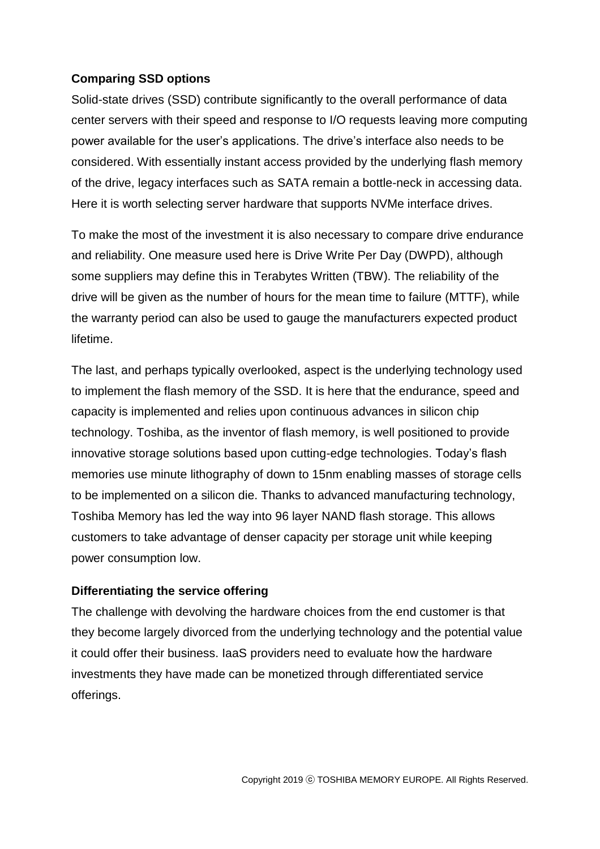## **Comparing SSD options**

Solid-state drives (SSD) contribute significantly to the overall performance of data center servers with their speed and response to I/O requests leaving more computing power available for the user's applications. The drive's interface also needs to be considered. With essentially instant access provided by the underlying flash memory of the drive, legacy interfaces such as SATA remain a bottle-neck in accessing data. Here it is worth selecting server hardware that supports NVMe interface drives.

To make the most of the investment it is also necessary to compare drive endurance and reliability. One measure used here is Drive Write Per Day (DWPD), although some suppliers may define this in Terabytes Written (TBW). The reliability of the drive will be given as the number of hours for the mean time to failure (MTTF), while the warranty period can also be used to gauge the manufacturers expected product lifetime.

The last, and perhaps typically overlooked, aspect is the underlying technology used to implement the flash memory of the SSD. It is here that the endurance, speed and capacity is implemented and relies upon continuous advances in silicon chip technology. Toshiba, as the inventor of flash memory, is well positioned to provide innovative storage solutions based upon cutting-edge technologies. Today's flash memories use minute lithography of down to 15nm enabling masses of storage cells to be implemented on a silicon die. Thanks to advanced manufacturing technology, Toshiba Memory has led the way into 96 layer NAND flash storage. This allows customers to take advantage of denser capacity per storage unit while keeping power consumption low.

## **Differentiating the service offering**

The challenge with devolving the hardware choices from the end customer is that they become largely divorced from the underlying technology and the potential value it could offer their business. IaaS providers need to evaluate how the hardware investments they have made can be monetized through differentiated service offerings.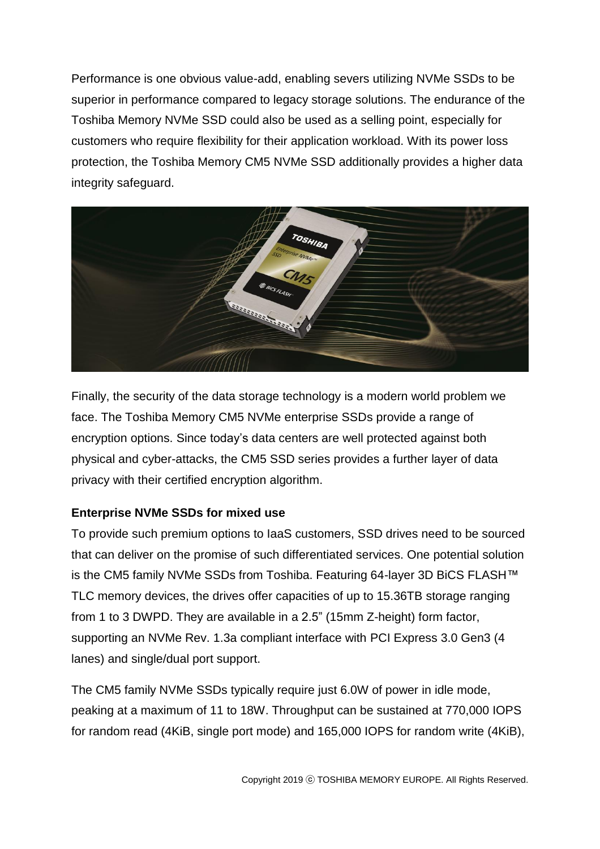Performance is one obvious value-add, enabling severs utilizing NVMe SSDs to be superior in performance compared to legacy storage solutions. The endurance of the Toshiba Memory NVMe SSD could also be used as a selling point, especially for customers who require flexibility for their application workload. With its power loss protection, the Toshiba Memory CM5 NVMe SSD additionally provides a higher data integrity safeguard.



Finally, the security of the data storage technology is a modern world problem we face. The Toshiba Memory CM5 NVMe enterprise SSDs provide a range of encryption options. Since today's data centers are well protected against both physical and cyber-attacks, the CM5 SSD series provides a further layer of data privacy with their certified encryption algorithm.

## **Enterprise NVMe SSDs for mixed use**

To provide such premium options to IaaS customers, SSD drives need to be sourced that can deliver on the promise of such differentiated services. One potential solution is the CM5 family NVMe SSDs from Toshiba. Featuring 64-layer 3D BiCS FLASH™ TLC memory devices, the drives offer capacities of up to 15.36TB storage ranging from 1 to 3 DWPD. They are available in a 2.5" (15mm Z-height) form factor, supporting an NVMe Rev. 1.3a compliant interface with PCI Express 3.0 Gen3 (4 lanes) and single/dual port support.

The CM5 family NVMe SSDs typically require just 6.0W of power in idle mode, peaking at a maximum of 11 to 18W. Throughput can be sustained at 770,000 IOPS for random read (4KiB, single port mode) and 165,000 IOPS for random write (4KiB),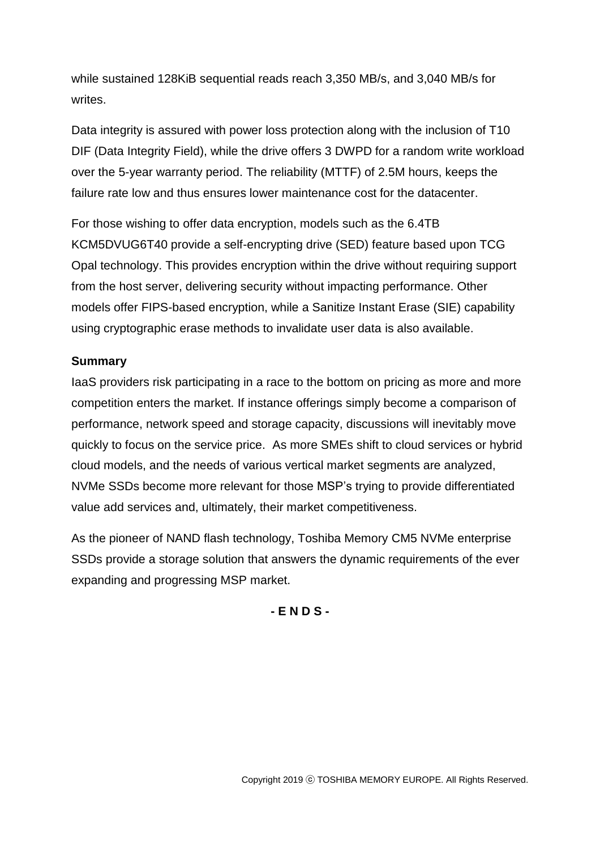while sustained 128KiB sequential reads reach 3,350 MB/s, and 3,040 MB/s for writes.

Data integrity is assured with power loss protection along with the inclusion of T10 DIF (Data Integrity Field), while the drive offers 3 DWPD for a random write workload over the 5-year warranty period. The reliability (MTTF) of 2.5M hours, keeps the failure rate low and thus ensures lower maintenance cost for the datacenter.

For those wishing to offer data encryption, models such as the 6.4TB KCM5DVUG6T40 provide a self-encrypting drive (SED) feature based upon TCG Opal technology. This provides encryption within the drive without requiring support from the host server, delivering security without impacting performance. Other models offer FIPS-based encryption, while a Sanitize Instant Erase (SIE) capability using cryptographic erase methods to invalidate user data is also available.

## **Summary**

IaaS providers risk participating in a race to the bottom on pricing as more and more competition enters the market. If instance offerings simply become a comparison of performance, network speed and storage capacity, discussions will inevitably move quickly to focus on the service price. As more SMEs shift to cloud services or hybrid cloud models, and the needs of various vertical market segments are analyzed, NVMe SSDs become more relevant for those MSP's trying to provide differentiated value add services and, ultimately, their market competitiveness.

As the pioneer of NAND flash technology, Toshiba Memory CM5 NVMe enterprise SSDs provide a storage solution that answers the dynamic requirements of the ever expanding and progressing MSP market.

**- E N D S -**